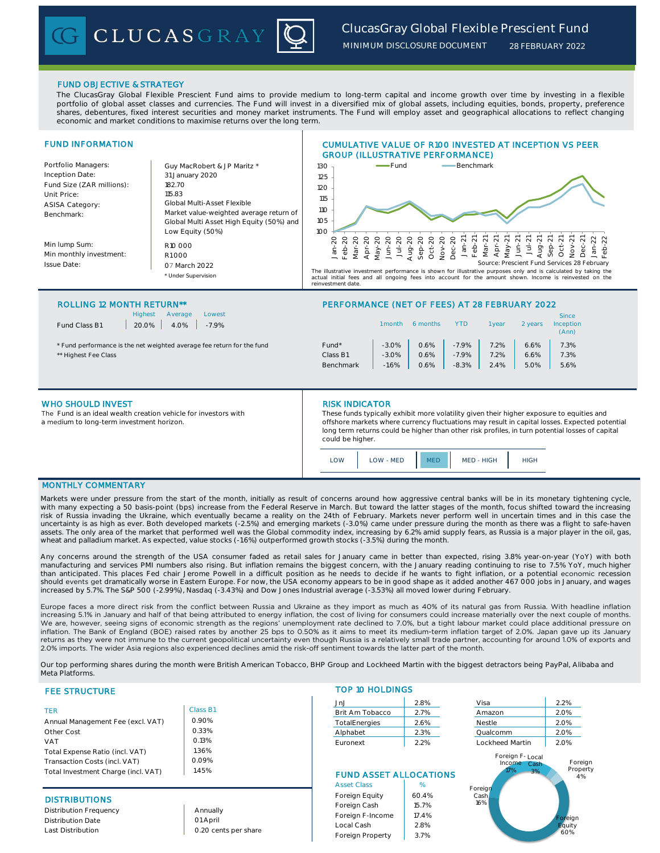# *ClucasGray Global Flexible Prescient Fund*

*MINIMUM DISCLOSURE DOCUMENT*

*28 FEBRUARY 2022*

## FUND OBJECTIVE & STRATEGY

The ClucasGray Global Flexible Prescient Fund aims to provide medium to long-term capital and income growth over time by investing in a flexible portfolio of global asset classes and currencies. The Fund will invest in a diversified mix of global assets, including equities, bonds, property, preference shares, debentures, fixed interest securities and money market instruments. The Fund will employ asset and geographical allocations to reflect changing economic and market conditions to maximise returns over the long term.



#### ROLLING 12 MONTH RETURN\*\* PERFORMANCE (NET OF FEES) AT 28 FEBRUARY 2022

| Fund Class B1 |  |
|---------------|--|
|               |  |

Highest Average Lowest  $20.0\%$  4.0% -7.9%

CLUCASGRAY

| <b>Highest</b><br>Lowest<br>Average<br>Fund Class B1<br>20.0%<br>4.0%<br>$-7.9%$ |           | 1 month | 6 months | YTD     | vear    | 2 vears | <b>Since</b><br>Inception<br>(Ann) |
|----------------------------------------------------------------------------------|-----------|---------|----------|---------|---------|---------|------------------------------------|
| * Fund performance is the net weighted average fee return for the fund           | Fund*     | $-3.0%$ | 0.6%     | $-7.9%$ | 7.2%    | 6.6%    | 7.3%                               |
| ** Highest Fee Class                                                             | Class B1  | $-3.0%$ | 0.6%     | $-7.9%$ | $7.2\%$ | 6.6%    | 7.3%                               |
|                                                                                  | Benchmark | $-1.6%$ | 0.6%     | $-8.3%$ | 2.4%    | 5.0%    | 5.6%                               |

### WHO SHOULD INVEST

Th The Fund is an ideal wealth creation vehicle for investors with a medium to long-term investment horizon.

#### RISK INDICATOR

These funds typically exhibit more volatility given their higher exposure to equities and offshore markets where currency fluctuations may result in capital losses. Expected potential long term returns could be higher than other risk profiles, in turn potential losses of capital could be higher.

| $\bigcap M$<br>LOW - MED |  | MED - HIGH |  |
|--------------------------|--|------------|--|
|--------------------------|--|------------|--|

# MONTHLY COMMENTARY

Markets were under pressure from the start of the month, initially as result of concerns around how aggressive central banks will be in its monetary tightening cycle, with many expecting a 50 basis-point (bps) increase from the Federal Reserve in March. But toward the latter stages of the month, focus shifted toward the increasing<br>risk of Russia invading the Ukraine, which eventually be uncertainty is as high as ever. Both developed markets (-2.5%) and emerging markets (-3.0%) came under pressure during the month as there was a flight to safe-haven<br>assets. The only area of the market that performed well w wheat and palladium market. As expected, value stocks (-1.6%) outperformed growth stocks (-3.5%) during the month.

Any concerns around the strength of the USA consumer faded as retail sales for January came in better than expected, rising 3.8% year-on-year (YoY) with both manufacturing and services PMI numbers also rising. But inflation remains the biggest concern, with the January reading continuing to rise to 7.5% YoY, much higher than anticipated. This places Fed chair Jerome Powell in a difficult position as he needs to decide if he wants to fight inflation, or a potential economic recession should events get dramatically worse in Eastern Europe. For now, the USA economy appears to be in good shape as it added another 467 000 jobs in January, and wages increased by 5.7%. The S&P 500 (-2.99%), Nasdaq (-3.43%) and Dow Jones Industrial average (-3.53%) all moved lower during February.

Europe faces a more direct risk from the conflict between Russia and Ukraine as they import as much as 40% of its natural gas from Russia. With headline inflation<br>increasing 5.1% in January and half of that being attribute We are, however, seeing signs of economic strength as the regions' unemployment rate declined to 7.0%, but a tight labour market could place additional pressure on inflation. The Bank of England (BOE) raised rates by another 25 bps to 0.50% as it aims to meet its medium-term inflation target of 2.0%. Japan gave up its January returns as they were not immune to the current geopolitical uncertainty even though Russia is a relatively small trade partner, accounting for around 1.0% of exports and 2.0% imports. The wider Asia regions also experienced declines amid the risk-off sentiment towards the latter part of the month.

Our top performing shares during the month were British American Tobacco, BHP Group and Lockheed Martin with the biggest detractors being PayPal, Alibaba and Meta Platforms.

## FEE STRUCTURE

| <b>TFR</b>                          | Class E |
|-------------------------------------|---------|
| Annual Management Fee (excl. VAT)   | 0.90%   |
| Other Cost                          | 0.33%   |
| <b>VAT</b>                          | 0.13%   |
| Total Expense Ratio (incl. VAT)     | 1.36%   |
| Transaction Costs (incl. VAT)       | 0.09%   |
| Total Investment Charge (incl. VAT) | 1.45%   |

### **DISTRIBUTIONS**

Distribution Frequency Distribution Date Last Distribution

Annually 01 April 0.20 cents per share

Class B1 0.90% 0.33% 0.13% 1.36% 0.09%

| <b>TOP 10 HOLDINGS</b> |         |          |         |
|------------------------|---------|----------|---------|
| JnJ                    | 2.8%    | Visa     | 2.2%    |
| Brit Am Tobacco        | 2.7%    | Amazon   | 2.0%    |
| TotalEnergies          | 2.6%    | Nestle   | 2.0%    |
| Alphabet               | 2.3%    | Qualcomm | 2.0%    |
|                        | - - - - | .        | - - - - |

# FUND ASSET ALLOCATIONS

| <b>Asset Class</b> | %     |
|--------------------|-------|
| Foreign Equity     | 60.4% |
| Foreign Cash       | 15.7% |
| Foreign F-Income   | 17.4% |
| Local Cash         | 2.8%  |
| Foreign Property   | 3.7%  |